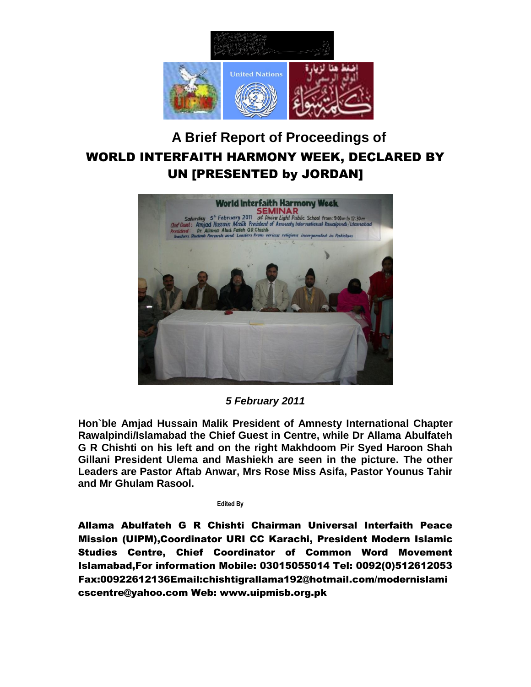

## **A Brief Report of Proceedings of** WORLD INTERFAITH HARMONY WEEK, DECLARED BY UN [PRESENTED by JORDAN]



## *5 February 2011*

**Hon`ble Amjad Hussain Malik President of Amnesty International Chapter Rawalpindi/Islamabad the Chief Guest in Centre, while Dr Allama Abulfateh G R Chishti on his left and on the right Makhdoom Pir Syed Haroon Shah Gillani President Ulema and Mashiekh are seen in the picture. The other Leaders are Pastor Aftab Anwar, Mrs Rose Miss Asifa, Pastor Younus Tahir and Mr Ghulam Rasool.**

 **Edited By**

Allama Abulfateh G R Chishti Chairman Universal Interfaith Peace Mission (UIPM),Coordinator URI CC Karachi, President Modern Islamic Studies Centre, Chief Coordinator of Common Word Movement Islamabad,For information Mobile: 03015055014 Tel: 0092(0)512612053 Fax:00922612136Email:chishtigrallama192@hotmail.com/modernislami cscentre@yahoo.com Web: www.uipmisb.org.pk